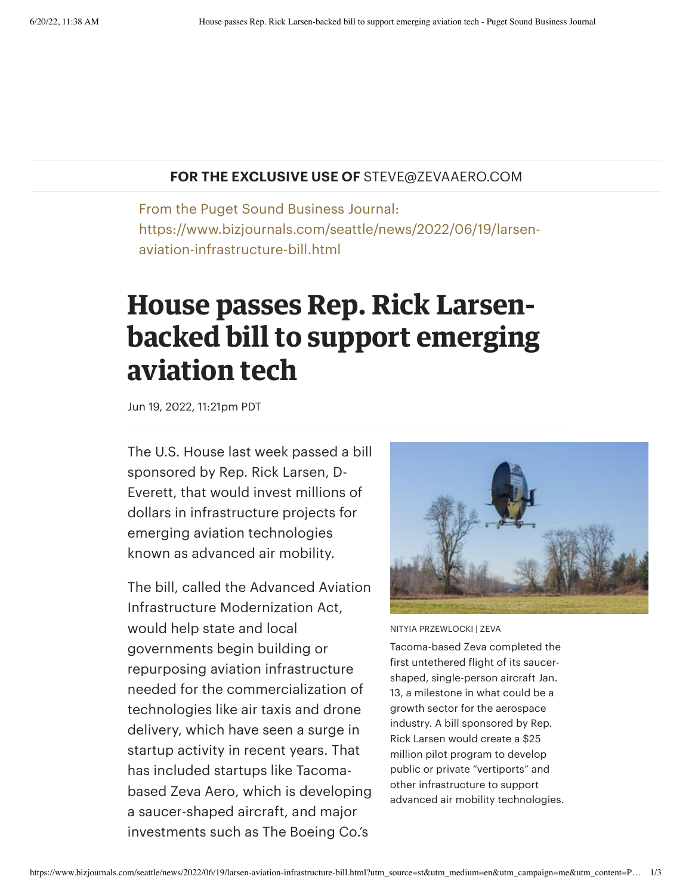## **FOR THE EXCLUSIVE USE OF** STEVE@ZEVAAERO.COM

From the Puget Sound Business Journal: https://www.bizjournals.com/seattle/news/2022/06/19/larsenaviation-infrastructure-bill.html

## **House passes Rep. Rick Larsenbacked bill to support emerging aviation tech**

Jun 19, 2022, 11:21pm PDT

The U.S. House last week passed a bill sponsored by Rep. Rick [Larsen](https://www.bizjournals.com/seattle/search/results?q=Rick%20Larsen), D-Everett, that would invest millions of dollars in infrastructure projects for emerging aviation technologies known as advanced air mobility.

The bill, called the Advanced Aviation Infrastructure [Modernization](https://www.congress.gov/bill/117th-congress/house-bill/6270/text?q=%7B%22search%22%3A%5B%22%22%5D%7D&r=2&s=1) Act, would help state and local governments begin building or repurposing aviation infrastructure needed for the commercialization of technologies like air taxis and drone delivery, which have seen a surge in startup activity in recent years. That has [included](https://www.bizjournals.com/seattle/news/2022/01/16/zeva-conducts-open-air-test-flight.html) startups like Tacomabased Zeva Aero, which is developing a saucer-shaped aircraft, and major investments such as The Boeing Co.'s



NITYIA PRZEWLOCKI | ZEVA

Tacoma-based Zeva completed the first untethered flight of its saucershaped, single-person aircraft Jan. 13, a milestone in what could be a growth sector for the aerospace industry. A bill sponsored by Rep. Rick Larsen would create a \$25 million pilot program to develop public or private "vertiports" and other infrastructure to support advanced air mobility technologies.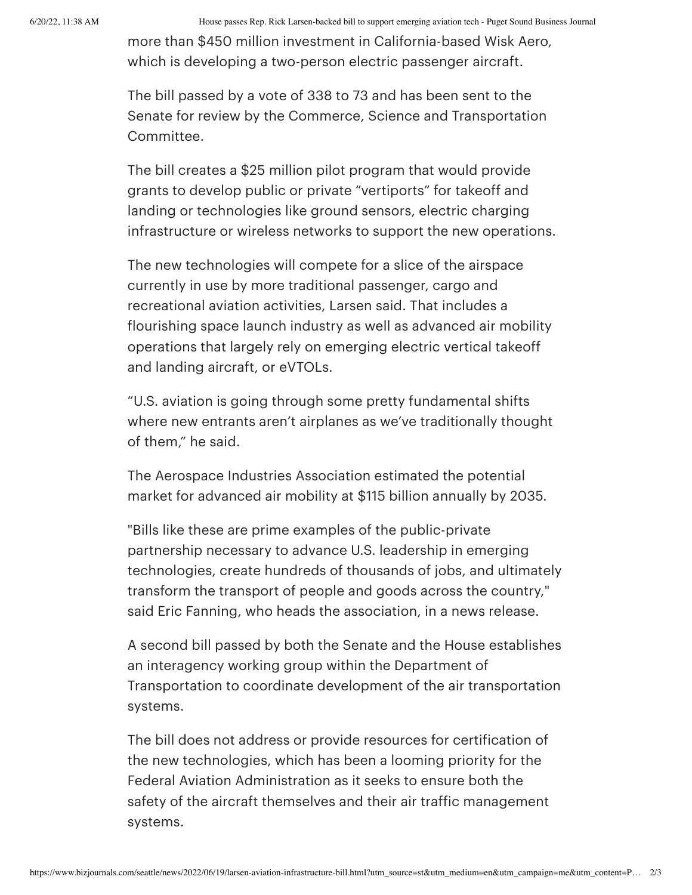6/20/22, 11:38 AM House passes Rep. Rick Larsen-backed bill to support emerging aviation tech - Puget Sound Business Journal

more than \$450 million [investment](https://www.bizjournals.com/seattle/news/2022/01/24/boeing-adds-450m-to-its-investment-in-air-taxi.html) in California-based Wisk Aero, which is developing a two-person electric passenger aircraft.

The bill passed by a vote of 338 to 73 and has been sent to the Senate for review by the Commerce, Science and Transportation Committee.

The bill creates a \$25 million pilot program that would provide grants to develop public or private "vertiports" for takeoff and landing or technologies like ground sensors, electric charging infrastructure or wireless networks to support the new operations.

The new technologies will compete for a slice of the airspace currently in use by more traditional passenger, cargo and recreational aviation activities, Larsen said. That includes a flourishing space launch industry as well as advanced air mobility operations that largely rely on emerging electric vertical takeoff and landing aircraft, or eVTOLs.

"U.S. aviation is going through some pretty fundamental shifts where new entrants aren't airplanes as we've traditionally thought of them," he said.

The Aerospace Industries Association estimated the potential market for advanced air mobility at \$115 billion annually by 2035.

"Bills like these are prime examples of the public-private partnership necessary to advance U.S. leadership in emerging technologies, create hundreds of thousands of jobs, and ultimately transform the transport of people and goods across the country," said Eric [Fanning](https://www.bizjournals.com/seattle/search/results?q=Eric%20Fanning), who heads the association, in a news release.

A second bill passed by both the Senate and the House establishes an interagency working group within the Department of Transportation to coordinate development of the air transportation systems.

The bill does not address or provide resources for certification of the new technologies, which has been a [looming](https://www.bizjournals.com/seattle/news/2022/02/21/new-leadership-for-faa-crucial-to-boeing-programs.html) priority for the Federal Aviation Administration as it seeks to ensure both the safety of the aircraft themselves and their air traffic management systems.